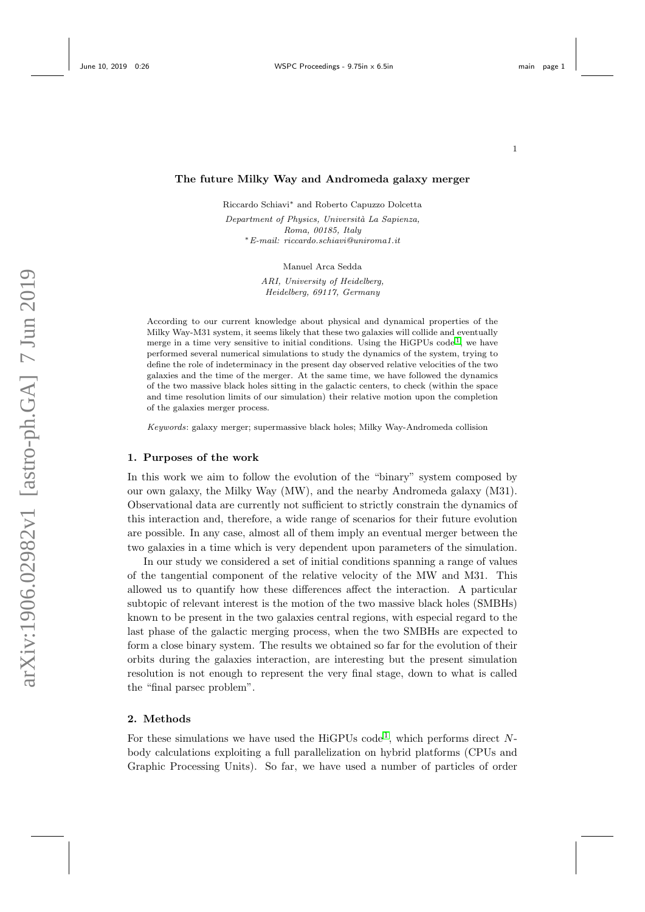1

### The future Milky Way and Andromeda galaxy merger

Riccardo Schiavi<sup>∗</sup> and Roberto Capuzzo Dolcetta

Department of Physics, Università La Sapienza, Roma, 00185, Italy <sup>∗</sup>E-mail: riccardo.schiavi@uniroma1.it

Manuel Arca Sedda

ARI, University of Heidelberg, Heidelberg, 69117, Germany

According to our current knowledge about physical and dynamical properties of the Milky Way-M31 system, it seems likely that these two galaxies will collide and eventually merge in a time very sensitive to initial conditions. Using the HiGPUs  $\text{code}^1$  $\text{code}^1$ , we have performed several numerical simulations to study the dynamics of the system, trying to define the role of indeterminacy in the present day observed relative velocities of the two galaxies and the time of the merger. At the same time, we have followed the dynamics of the two massive black holes sitting in the galactic centers, to check (within the space and time resolution limits of our simulation) their relative motion upon the completion of the galaxies merger process.

Keywords: galaxy merger; supermassive black holes; Milky Way-Andromeda collision

# 1. Purposes of the work

In this work we aim to follow the evolution of the "binary" system composed by our own galaxy, the Milky Way (MW), and the nearby Andromeda galaxy (M31). Observational data are currently not sufficient to strictly constrain the dynamics of this interaction and, therefore, a wide range of scenarios for their future evolution are possible. In any case, almost all of them imply an eventual merger between the two galaxies in a time which is very dependent upon parameters of the simulation.

In our study we considered a set of initial conditions spanning a range of values of the tangential component of the relative velocity of the MW and M31. This allowed us to quantify how these differences affect the interaction. A particular subtopic of relevant interest is the motion of the two massive black holes (SMBHs) known to be present in the two galaxies central regions, with especial regard to the last phase of the galactic merging process, when the two SMBHs are expected to form a close binary system. The results we obtained so far for the evolution of their orbits during the galaxies interaction, are interesting but the present simulation resolution is not enough to represent the very final stage, down to what is called the "final parsec problem".

# 2. Methods

For these simulations we have used the HiGPUs code<sup>[1](#page-3-0)</sup>, which performs direct Nbody calculations exploiting a full parallelization on hybrid platforms (CPUs and Graphic Processing Units). So far, we have used a number of particles of order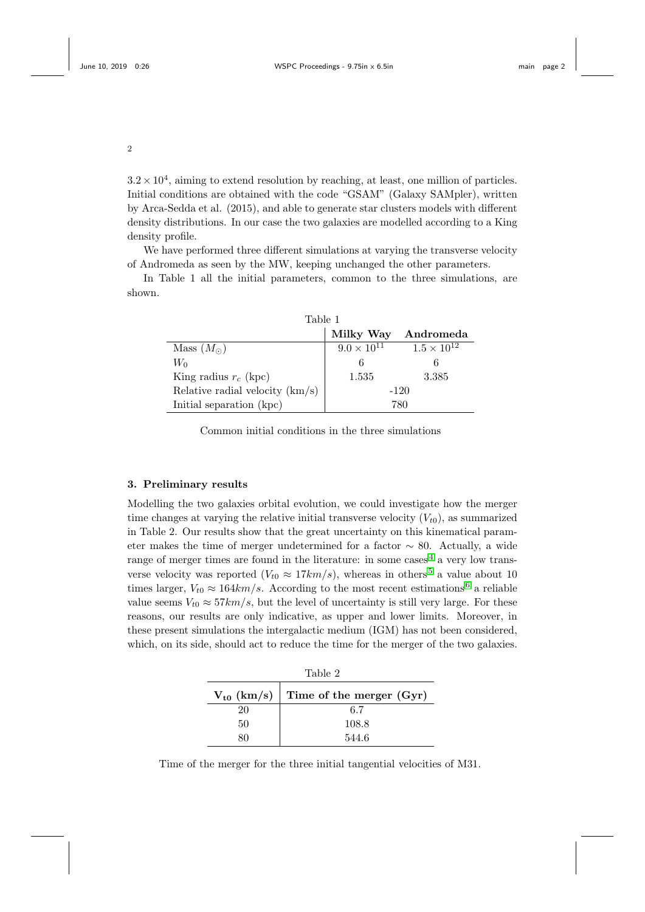$3.2 \times 10^4$ , aiming to extend resolution by reaching, at least, one million of particles. Initial conditions are obtained with the code "GSAM" (Galaxy SAMpler), written by Arca-Sedda et al. (2015), and able to generate star clusters models with different density distributions. In our case the two galaxies are modelled according to a King density profile.

We have performed three different simulations at varying the transverse velocity of Andromeda as seen by the MW, keeping unchanged the other parameters.

In Table 1 all the initial parameters, common to the three simulations, are shown.

| Table 1                           |                      |                      |
|-----------------------------------|----------------------|----------------------|
|                                   | Milky Way            | Andromeda            |
| Mass $(M_{\odot})$                | $9.0 \times 10^{11}$ | $1.5 \times 10^{12}$ |
| Wo                                |                      |                      |
| King radius $r_c$ (kpc)           | 1.535                | 3.385                |
| Relative radial velocity $(km/s)$ | $-120$               |                      |
| Initial separation (kpc)          | 780                  |                      |

Common initial conditions in the three simulations

# 3. Preliminary results

Modelling the two galaxies orbital evolution, we could investigate how the merger time changes at varying the relative initial transverse velocity  $(V_{t0})$ , as summarized in Table 2. Our results show that the great uncertainty on this kinematical parameter makes the time of merger undetermined for a factor  $\sim$  80. Actually, a wide range of merger times are found in the literature: in some cases<sup> $4$ </sup> a very low transverse velocity was reported  $(V_{t0} \approx 17km/s)$ , whereas in others<sup>[5](#page-4-1)</sup> a value about 10 times larger,  $V_{t0} \approx 164 \frac{km}{s}$  $V_{t0} \approx 164 \frac{km}{s}$  $V_{t0} \approx 164 \frac{km}{s}$ . According to the most recent estimations<sup>6</sup> a reliable value seems  $V_{t0} \approx 57 km/s$ , but the level of uncertainty is still very large. For these reasons, our results are only indicative, as upper and lower limits. Moreover, in these present simulations the intergalactic medium (IGM) has not been considered, which, on its side, should act to reduce the time for the merger of the two galaxies.

| Table 2                                  |       |  |
|------------------------------------------|-------|--|
| $V_{t0}$ (km/s) Time of the merger (Gyr) |       |  |
| 20                                       | 6.7   |  |
| 50                                       | 108.8 |  |
|                                          | 544.6 |  |

Time of the merger for the three initial tangential velocities of M31.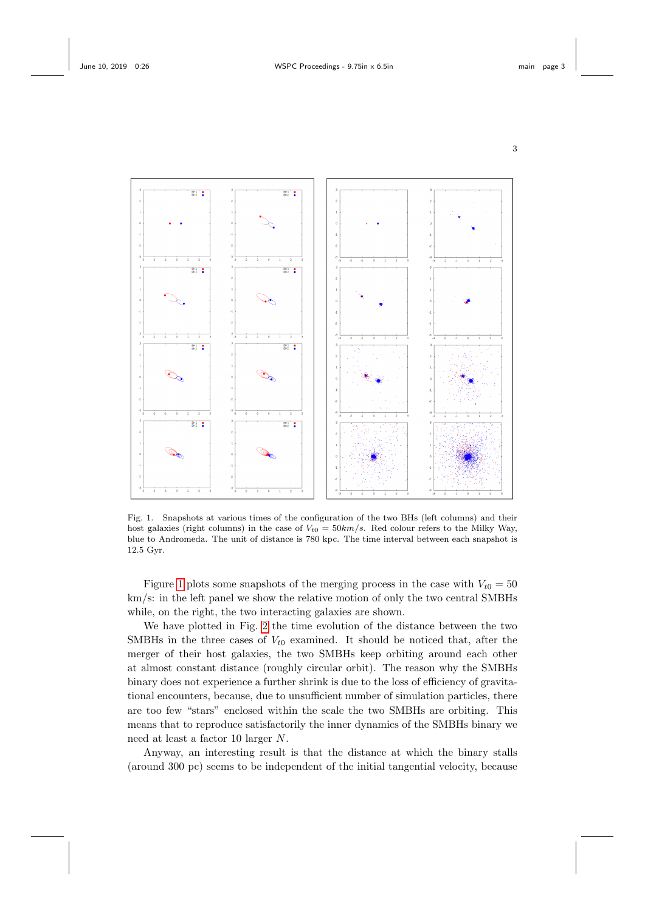



<span id="page-2-0"></span>Fig. 1. Snapshots at various times of the configuration of the two BHs (left columns) and their host galaxies (right columns) in the case of  $V_{t0} = 50 \text{km/s}$ . Red colour refers to the Milky Way, blue to Andromeda. The unit of distance is 780 kpc. The time interval between each snapshot is 12.5 Gyr.

Figure [1](#page-2-0) plots some snapshots of the merging process in the case with  $V_{t0} = 50$ km/s: in the left panel we show the relative motion of only the two central SMBHs while, on the right, the two interacting galaxies are shown.

We have plotted in Fig. [2](#page-3-1) the time evolution of the distance between the two SMBHs in the three cases of  $V_{t0}$  examined. It should be noticed that, after the merger of their host galaxies, the two SMBHs keep orbiting around each other at almost constant distance (roughly circular orbit). The reason why the SMBHs binary does not experience a further shrink is due to the loss of efficiency of gravitational encounters, because, due to unsufficient number of simulation particles, there are too few "stars" enclosed within the scale the two SMBHs are orbiting. This means that to reproduce satisfactorily the inner dynamics of the SMBHs binary we need at least a factor 10 larger N.

Anyway, an interesting result is that the distance at which the binary stalls (around 300 pc) seems to be independent of the initial tangential velocity, because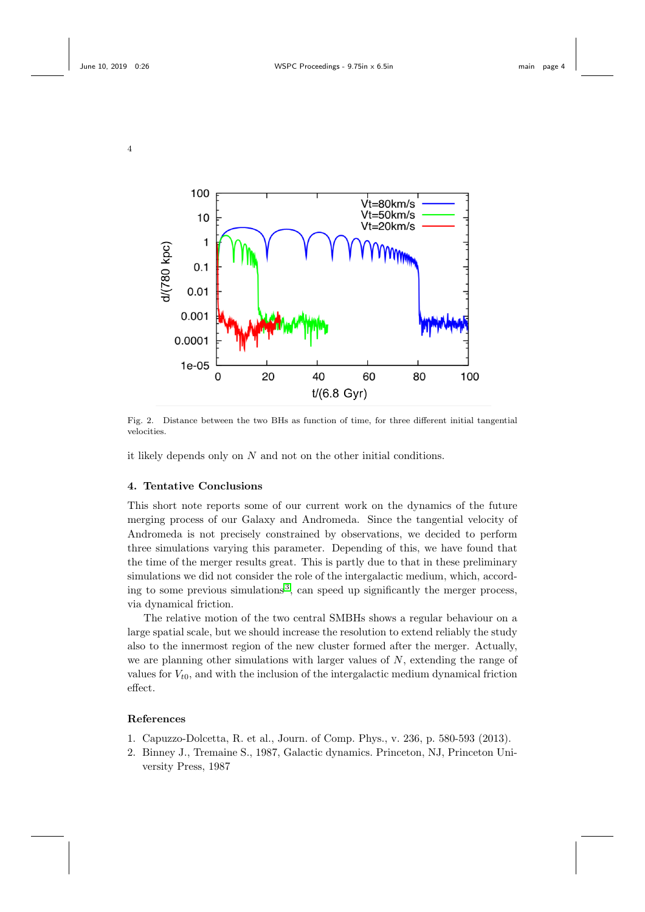4



<span id="page-3-1"></span>Fig. 2. Distance between the two BHs as function of time, for three different initial tangential velocities.

it likely depends only on  $N$  and not on the other initial conditions.

#### 4. Tentative Conclusions

This short note reports some of our current work on the dynamics of the future merging process of our Galaxy and Andromeda. Since the tangential velocity of Andromeda is not precisely constrained by observations, we decided to perform three simulations varying this parameter. Depending of this, we have found that the time of the merger results great. This is partly due to that in these preliminary simulations we did not consider the role of the intergalactic medium, which, accord-ing to some previous simulations<sup>[3](#page-4-3)</sup>, can speed up significantly the merger process, via dynamical friction.

The relative motion of the two central SMBHs shows a regular behaviour on a large spatial scale, but we should increase the resolution to extend reliably the study also to the innermost region of the new cluster formed after the merger. Actually, we are planning other simulations with larger values of  $N$ , extending the range of values for  $V_{t0}$ , and with the inclusion of the intergalactic medium dynamical friction effect.

### References

- <span id="page-3-0"></span>1. Capuzzo-Dolcetta, R. et al., Journ. of Comp. Phys., v. 236, p. 580-593 (2013).
- 2. Binney J., Tremaine S., 1987, Galactic dynamics. Princeton, NJ, Princeton University Press, 1987